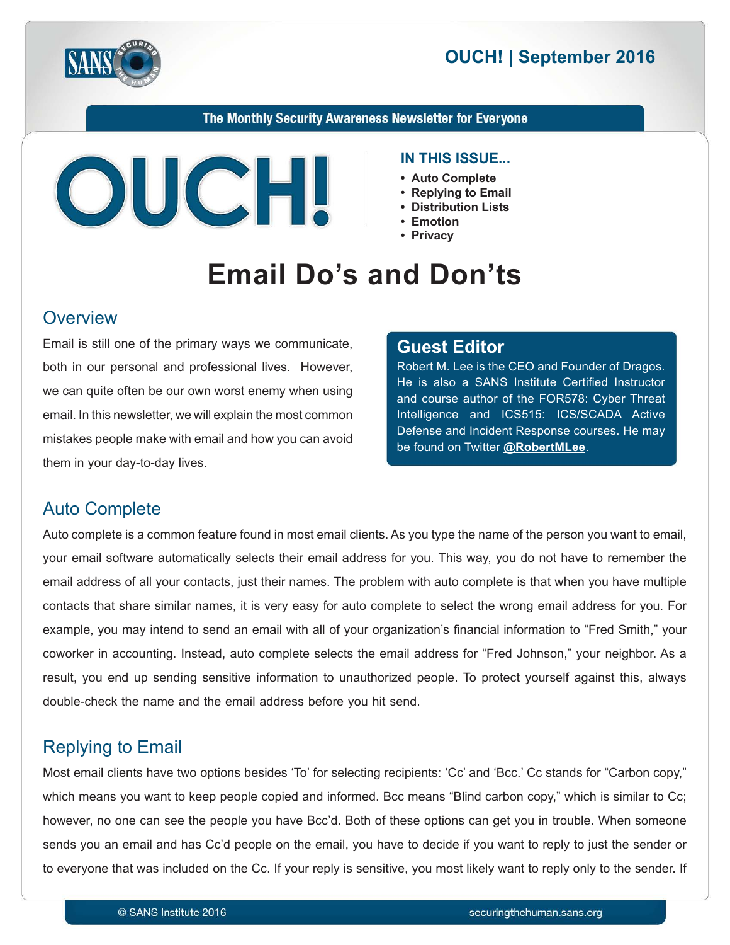



#### The Monthly Security Awareness Newsletter for Everyone



#### **IN THIS ISSUE...**

- Auto Complete
- Replying to Email
- Distribution Lists
- **Emotion•**
- Privacv

# **Email Do's and Don'ts**

#### **Overview**

Email is still one of the primary ways we communicate, both in our personal and professional lives. However, we can quite often be our own worst enemy when using email. In this newsletter, we will explain the most common mistakes people make with email and how you can avoid them in your day-to-day lives.

#### **Editor Guest**

Robert M. Lee is the CEO and Founder of Dragos. He is also a SANS Institute Certified Instructor and course author of the FOR578: Cyber Threat Intelligence and ICS515: ICS/SCADA Active Defense and Incident Response courses. He may be found on Twitter @[RobertMLee](https://twitter.com/RobertMLee).

## **Auto Complete**

Auto complete is a common feature found in most email clients. As you type the name of the person you want to email, your email software automatically selects their email address for you. This way, you do not have to remember the email address of all your contacts, just their names. The problem with auto complete is that when you have multiple contacts that share similar names, it is very easy for auto complete to select the wrong email address for you. For example, you may intend to send an email with all of your organization's financial information to "Fred Smith," your coworker in accounting. Instead, auto complete selects the email address for "Fred Johnson," your neighbor. As a result, you end up sending sensitive information to unauthorized people. To protect yourself against this, always double-check the name and the email address before you hit send.

## **Replying to Email**

Most email clients have two options besides 'To' for selecting recipients: 'Cc' and 'Bcc.' Cc stands for "Carbon copy," which means you want to keep people copied and informed. Bcc means "Blind carbon copy," which is similar to Cc; however, no one can see the people you have Bcc'd. Both of these options can get you in trouble. When someone sends you an email and has Cc'd people on the email, you have to decide if you want to reply to just the sender or to everyone that was included on the Cc. If your reply is sensitive, you most likely want to reply only to the sender. If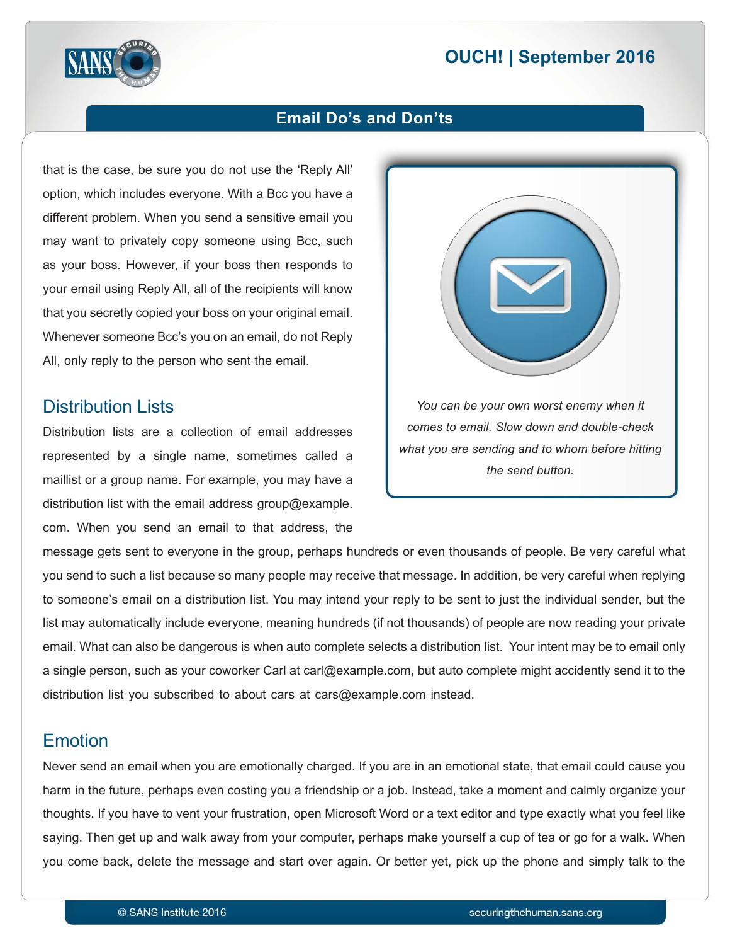# **2016 | OUCH! | September 2016**



#### **Email Do's and Don'ts**

that is the case, be sure you do not use the 'Reply All' option, which includes everyone. With a Bcc you have a different problem. When you send a sensitive email you may want to privately copy someone using Bcc, such as your boss. However, if your boss then responds to your email using Reply All, all of the recipients will know that you secretly copied your boss on your original email. Whenever someone Bcc's you on an email, do not Reply All, only reply to the person who sent the email.

#### **Distribution Lists**

Distribution lists are a collection of email addresses represented by a single name, sometimes called a maillist or a group name. For example, you may have a distribution list with the email address group  $@$  example. com. When you send an email to that address, the



message gets sent to everyone in the group, perhaps hundreds or even thousands of people. Be very careful what you send to such a list because so many people may receive that message. In addition, be very careful when replying to someone's email on a distribution list. You may intend your reply to be sent to just the individual sender, but the list may automatically include everyone, meaning hundreds (if not thousands) of people are now reading your private email. What can also be dangerous is when auto complete selects a distribution list. Your intent may be to email only a single person, such as your coworker Carl at carl@example.com, but auto complete might accidently send it to the distribution list you subscribed to about cars at cars@example.com instead.

## Emotion

Never send an email when you are emotionally charged. If you are in an emotional state, that email could cause you harm in the future, perhaps even costing you a friendship or a job. Instead, take a moment and calmly organize your thoughts. If you have to vent your frustration, open Microsoft Word or a text editor and type exactly what you feel like saying. Then get up and walk away from your computer, perhaps make yourself a cup of tea or go for a walk. When you come back, delete the message and start over again. Or better yet, pick up the phone and simply talk to the